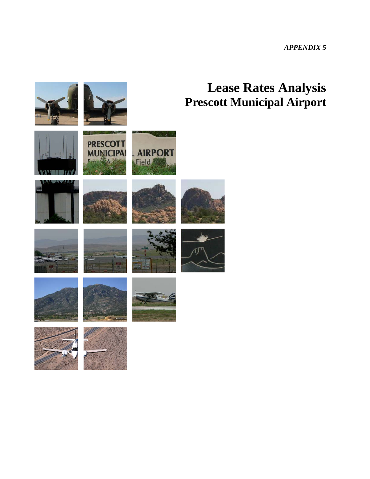*APPENDIX 5* 

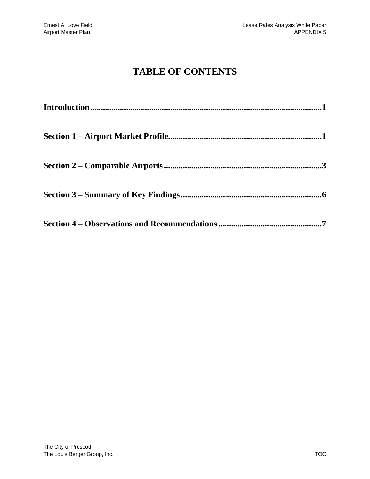# **TABLE OF CONTENTS**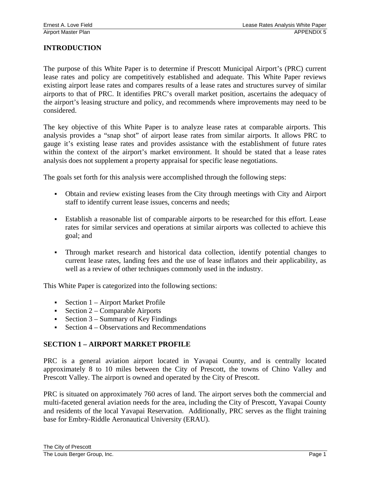# **INTRODUCTION**

The purpose of this White Paper is to determine if Prescott Municipal Airport's (PRC) current lease rates and policy are competitively established and adequate. This White Paper reviews existing airport lease rates and compares results of a lease rates and structures survey of similar airports to that of PRC. It identifies PRC's overall market position, ascertains the adequacy of the airport's leasing structure and policy, and recommends where improvements may need to be considered.

The key objective of this White Paper is to analyze lease rates at comparable airports. This analysis provides a "snap shot" of airport lease rates from similar airports. It allows PRC to gauge it's existing lease rates and provides assistance with the establishment of future rates within the context of the airport's market environment. It should be stated that a lease rates analysis does not supplement a property appraisal for specific lease negotiations.

The goals set forth for this analysis were accomplished through the following steps:

- Obtain and review existing leases from the City through meetings with City and Airport staff to identify current lease issues, concerns and needs;
- Establish a reasonable list of comparable airports to be researched for this effort. Lease rates for similar services and operations at similar airports was collected to achieve this goal; and
- Through market research and historical data collection, identify potential changes to current lease rates, landing fees and the use of lease inflators and their applicability, as well as a review of other techniques commonly used in the industry.

This White Paper is categorized into the following sections:

- Section  $1 -$  Airport Market Profile
- Section  $2$  Comparable Airports
- Section  $3 -$  Summary of Key Findings
- Section  $4 -$  Observations and Recommendations

### **SECTION 1 – AIRPORT MARKET PROFILE**

PRC is a general aviation airport located in Yavapai County, and is centrally located approximately 8 to 10 miles between the City of Prescott, the towns of Chino Valley and Prescott Valley. The airport is owned and operated by the City of Prescott.

PRC is situated on approximately 760 acres of land. The airport serves both the commercial and multi-faceted general aviation needs for the area, including the City of Prescott, Yavapai County and residents of the local Yavapai Reservation. Additionally, PRC serves as the flight training base for Embry-Riddle Aeronautical University (ERAU).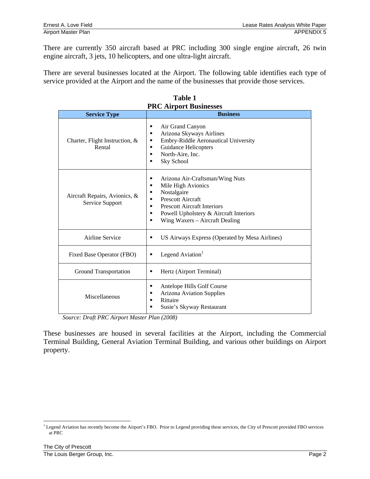There are currently 350 aircraft based at PRC including 300 single engine aircraft, 26 twin engine aircraft, 3 jets, 10 helicopters, and one ultra-light aircraft.

There are several businesses located at the Airport. The following table identifies each type of service provided at the Airport and the name of the businesses that provide those services.

| <b>PRC Airport Businesses</b>                    |                                                                                                                                                                                                                                             |  |  |  |  |
|--------------------------------------------------|---------------------------------------------------------------------------------------------------------------------------------------------------------------------------------------------------------------------------------------------|--|--|--|--|
| <b>Service Type</b>                              | <b>Business</b>                                                                                                                                                                                                                             |  |  |  |  |
| Charter, Flight Instruction, &<br>Rental         | Air Grand Canyon<br>٠<br>Arizona Skyways Airlines<br>٠<br>Embry-Riddle Aeronautical University<br>٠<br>Guidance Helicopters<br>п<br>North-Aire, Inc.<br>п<br>Sky School                                                                     |  |  |  |  |
| Aircraft Repairs, Avionics, &<br>Service Support | Arizona Air-Craftsman/Wing Nuts<br>٠<br>Mile High Avionics<br>٠<br>Nostalgaire<br>٠<br><b>Prescott Aircraft</b><br>٠<br><b>Prescott Aircraft Interiors</b><br>Powell Upholstery & Aircraft Interiors<br>п<br>Wing Waxers – Aircraft Dealing |  |  |  |  |
| Airline Service                                  | US Airways Express (Operated by Mesa Airlines)<br>٠                                                                                                                                                                                         |  |  |  |  |
| Fixed Base Operator (FBO)                        | Legend Aviation <sup>1</sup><br>п                                                                                                                                                                                                           |  |  |  |  |
| Ground Transportation                            | Hertz (Airport Terminal)<br>٠                                                                                                                                                                                                               |  |  |  |  |
| Miscellaneous                                    | Antelope Hills Golf Course<br>٠<br><b>Arizona Aviation Supplies</b><br>٠<br>Rittaire<br>п<br>Susie's Skyway Restaurant<br>п                                                                                                                 |  |  |  |  |

| <b>Table 1</b>                |  |  |  |  |  |  |
|-------------------------------|--|--|--|--|--|--|
| <b>PRC Airport Businesses</b> |  |  |  |  |  |  |

*Source: Draft PRC Airport Master Plan (2008)* 

These businesses are housed in several facilities at the Airport, including the Commercial Terminal Building, General Aviation Terminal Building, and various other buildings on Airport property.

 $\overline{a}$ <sup>1</sup> Legend Aviation has recently become the Airport's FBO. Prior to Legend providing these services, the City of Prescott provided FBO services at PRC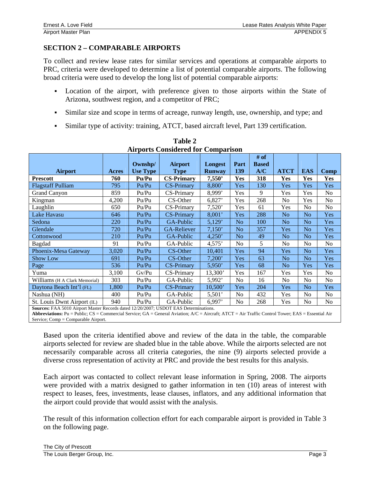# **SECTION 2 – COMPARABLE AIRPORTS**

To collect and review lease rates for similar services and operations at comparable airports to PRC, criteria were developed to determine a list of potential comparable airports. The following broad criteria were used to develop the long list of potential comparable airports:

- Location of the airport, with preference given to those airports within the State of Arizona, southwest region, and a competitor of PRC;
- Similar size and scope in terms of acreage, runway length, use, ownership, and type; and
- Similar type of activity: training, ATCT, based aircraft level, Part 139 certification.

| An ports considered for comparison                                                                                                                                                                                                                                                  |       |                 |                   |                |                |              |                |                |                |
|-------------------------------------------------------------------------------------------------------------------------------------------------------------------------------------------------------------------------------------------------------------------------------------|-------|-----------------|-------------------|----------------|----------------|--------------|----------------|----------------|----------------|
|                                                                                                                                                                                                                                                                                     |       |                 |                   |                |                | # of         |                |                |                |
|                                                                                                                                                                                                                                                                                     |       | Ownshp/         | <b>Airport</b>    | <b>Longest</b> | Part           | <b>Based</b> |                |                |                |
| <b>Airport</b>                                                                                                                                                                                                                                                                      | Acres | <b>Use Type</b> | <b>Type</b>       | <b>Runway</b>  | 139            | A/C          | <b>ATCT</b>    | <b>EAS</b>     | Comp           |
| <b>Prescott</b>                                                                                                                                                                                                                                                                     | 760   | Pu/Pu           | <b>CS-Primary</b> | 7,550'         | Yes            | 318          | Yes            | Yes            | <b>Yes</b>     |
| <b>Flagstaff Pulliam</b>                                                                                                                                                                                                                                                            | 795   | Pu/Pu           | <b>CS-Primary</b> | 8,800'         | Yes            | 130          | Yes            | Yes            | Yes            |
| <b>Grand Canyon</b>                                                                                                                                                                                                                                                                 | 859   | Pu/Pu           | CS-Primary        | 8,999'         | Yes            | 9            | Yes            | Yes            | N <sub>o</sub> |
| Kingman                                                                                                                                                                                                                                                                             | 4,200 | Pu/Pu           | CS-Other          | 6,827'         | Yes            | 268          | No             | Yes            | N <sub>0</sub> |
| Laughlin                                                                                                                                                                                                                                                                            | 650   | Pu/Pu           | CS-Primary        | 7,520'         | <b>Yes</b>     | 61           | Yes            | N <sub>o</sub> | N <sub>o</sub> |
| Lake Havasu                                                                                                                                                                                                                                                                         | 646   | Pu/Pu           | <b>CS-Primary</b> | 8,001'         | Yes            | 288          | N <sub>o</sub> | N <sub>o</sub> | Yes            |
| Sedona                                                                                                                                                                                                                                                                              | 220   | Pu/Pu           | GA-Public         | 5,129'         | N <sub>o</sub> | 100          | N <sub>o</sub> | No             | Yes            |
| Glendale                                                                                                                                                                                                                                                                            | 720   | Pu/Pu           | GA-Reliever       | 7,150'         | N <sub>o</sub> | 357          | Yes            | N <sub>o</sub> | Yes            |
| Cottonwood                                                                                                                                                                                                                                                                          | 210   | Pu/Pu           | GA-Public         | 4,250'         | N <sub>o</sub> | 49           | N <sub>o</sub> | N <sub>o</sub> | Yes            |
| Bagdad                                                                                                                                                                                                                                                                              | 91    | Pu/Pu           | GA-Public         | 4,575'         | N <sub>o</sub> | 5            | No             | N <sub>0</sub> | N <sub>o</sub> |
| Phoenix-Mesa Gateway                                                                                                                                                                                                                                                                | 3,020 | Pu/Pu           | CS-Other          | 10,401         | Yes            | 94           | Yes            | N <sub>o</sub> | Yes            |
| <b>Show Low</b>                                                                                                                                                                                                                                                                     | 691   | Pu/Pu           | CS-Other          | 7,200'         | Yes            | 63           | N <sub>o</sub> | N <sub>o</sub> | Yes            |
| Page                                                                                                                                                                                                                                                                                | 536   | Pu/Pu           | <b>CS-Primary</b> | 5,950'         | Yes            | 68           | N <sub>o</sub> | Yes            | Yes            |
| Yuma                                                                                                                                                                                                                                                                                | 3,100 | Gv/Pu           | CS-Primary        | 13,300'        | Yes            | 167          | Yes            | Yes            | N <sub>0</sub> |
| Williams (H A Clark Memorial)                                                                                                                                                                                                                                                       | 303   | Pu/Pu           | GA-Public         | 5,992'         | No             | 16           | No             | No             | N <sub>0</sub> |
| Daytona Beach Int'l (FL)                                                                                                                                                                                                                                                            | 1,800 | Pu/Pu           | <b>CS-Primary</b> | 10,500'        | Yes            | 204          | Yes            | N <sub>o</sub> | Yes            |
| Nashua (NH)                                                                                                                                                                                                                                                                         | 400   | Pu/Pu           | GA-Public         | 5,501'         | N <sub>0</sub> | 432          | Yes            | N <sub>0</sub> | N <sub>0</sub> |
| St. Louis Dwnt Airport (IL)                                                                                                                                                                                                                                                         | 940   | Pu/Pu           | GA-Public         | 6,997'         | N <sub>0</sub> | 268          | Yes            | N <sub>0</sub> | N <sub>0</sub> |
| Sources: FAA 5010 Airport Master Records dated 12/20/2007; USDOT EAS Determinations.<br>Abbreviations: Pu = Public; CS = Commercial Service; GA = General Aviation; A/C = Aircraft; ATCT = Air Traffic Control Tower; EAS = Essential Air<br>Service; $Comp = Comparable Airport$ . |       |                 |                   |                |                |              |                |                |                |

**Table 2 Airports Considered for Comparison**

Based upon the criteria identified above and review of the data in the table, the comparable airports selected for review are shaded blue in the table above. While the airports selected are not necessarily comparable across all criteria categories, the nine (9) airports selected provide a diverse cross representation of activity at PRC and provide the best results for this analysis.

Each airport was contacted to collect relevant lease information in Spring, 2008. The airports were provided with a matrix designed to gather information in ten (10) areas of interest with respect to leases, fees, investments, lease clauses, inflators, and any additional information that the airport could provide that would assist with the analysis.

The result of this information collection effort for each comparable airport is provided in Table 3 on the following page.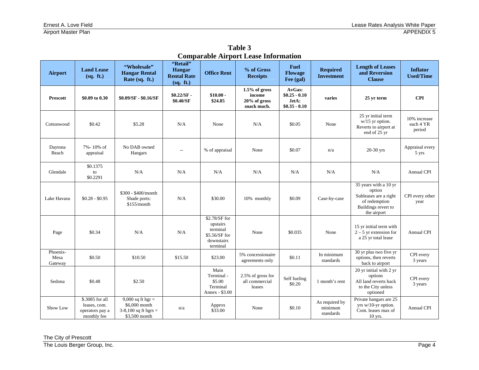| Comparable An port Lease miormation |                                                                   |                                                                               |                                                       |                                                                                  |                                                             |                                                     |                                        |                                                                                                                 |                                     |
|-------------------------------------|-------------------------------------------------------------------|-------------------------------------------------------------------------------|-------------------------------------------------------|----------------------------------------------------------------------------------|-------------------------------------------------------------|-----------------------------------------------------|----------------------------------------|-----------------------------------------------------------------------------------------------------------------|-------------------------------------|
| <b>Airport</b>                      | <b>Land Lease</b><br>(sq. ft.)                                    | "Wholesale"<br><b>Hangar Rental</b><br>Rate $(sq. ft.)$                       | "Retail"<br>Hangar<br><b>Rental Rate</b><br>(sq. ft.) | <b>Office Rent</b>                                                               | % of Gross<br><b>Receipts</b>                               | <b>Fuel</b><br><b>Flowage</b><br>Fee (gal)          | <b>Required</b><br><b>Investment</b>   | <b>Length of Leases</b><br>and Reversion<br><b>Clause</b>                                                       | <b>Inflator</b><br><b>Used/Time</b> |
| <b>Prescott</b>                     | \$0.09 to 0.30                                                    | \$0.09/SF - \$0.16/SF                                                         | $$0.22/SF -$<br>\$0.40/SF                             | $$10.00 -$<br>\$24.85                                                            | $1.5\%$ of gross<br>income<br>$20%$ of gross<br>snack mach. | AvGas:<br>$$0.25 - 0.10$<br>JetA:<br>$$0.35 - 0.10$ | varies                                 | 25 yr term                                                                                                      | <b>CPI</b>                          |
| Cottonwood                          | \$0.42                                                            | \$5.28                                                                        | N/A                                                   | None                                                                             | N/A                                                         | \$0.05                                              | None                                   | 25 yr initial term<br>$w/15$ yr option.<br>Reverts to airport at<br>end of 25 yr                                | 10% increase<br>each 4 YR<br>period |
| Daytona<br>Beach                    | 7%-10% of<br>appraisal                                            | No DAB owned<br>Hangars                                                       | $\overline{a}$                                        | % of appraisal                                                                   | None                                                        | \$0.07                                              | n/a                                    | 20-30 yrs                                                                                                       | Appraisal every<br>5 yrs            |
| Glendale                            | \$0.1375<br>${\rm to}$<br>\$0.2291                                | N/A                                                                           | N/A                                                   | N/A                                                                              | N/A                                                         | N/A                                                 | N/A                                    | N/A                                                                                                             | Annual CPI                          |
| Lake Havasu                         | $$0.28 - $0.95$                                                   | \$300 - \$400/month<br>Shade ports:<br>\$155/month                            | N/A                                                   | \$30.00                                                                          | 10% monthly                                                 | \$0.09                                              | Case-by-case                           | 35 years with a 10 yr<br>option<br>Subleases are a right<br>of redemption<br>Buildings revert to<br>the airport | CPI every other<br>year             |
| Page                                | \$0.34                                                            | N/A                                                                           | N/A                                                   | \$2.78/SF for<br>upstairs<br>terminal<br>\$5.56/SF for<br>downstairs<br>terminal | None                                                        | \$0.035                                             | None                                   | 15 yr initial term with<br>$2 - 5$ yr extension for<br>a 25 yr total lease                                      | <b>Annual CPI</b>                   |
| Phoenix-<br>Mesa<br>Gateway         | \$0.50                                                            | \$10.50                                                                       | \$15.50                                               | \$23.00                                                                          | 5% concessionaire<br>agreements only                        | \$0.11                                              | In minimum<br>standards                | 30 yr plus two five yr<br>options, then reverts<br>back to airport                                              | CPI every<br>3 years                |
| Sedona                              | \$0.48                                                            | \$2.50                                                                        |                                                       | Main<br>Terminal -<br>\$5.00<br>Terminal<br>Annex - \$3.00                       | 2.5% of gross for<br>all commercial<br>leases               | Self fueling<br>\$0.20                              | 1 month's rent                         | 20 yr initial with 2 yr<br>options<br>All land reverts back<br>to the City unless<br>optioned                   | CPI every<br>3 years                |
| Show Low                            | \$.3085 for all<br>leases, com.<br>operators pay a<br>monthly fee | 9,000 sq ft hgr $=$<br>\$6,000 month<br>3-8,100 sq ft hgrs =<br>\$3,500 month | n/a                                                   | Approx<br>\$33.00                                                                | None                                                        | \$0.10                                              | As required by<br>minimum<br>standards | Private hangars are 25<br>yrs w/10-yr option.<br>Com. leases max of<br>10 yrs.                                  | Annual CPI                          |

**Table 3 Comparable Airport Lease Information**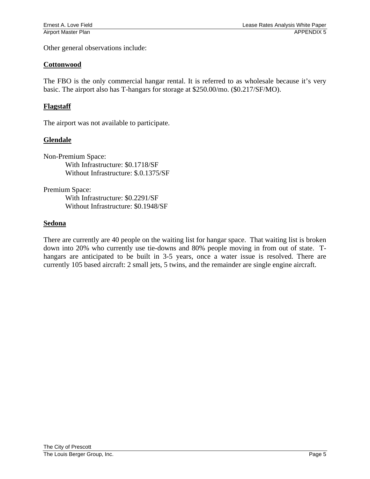Other general observations include:

### **Cottonwood**

The FBO is the only commercial hangar rental. It is referred to as wholesale because it's very basic. The airport also has T-hangars for storage at \$250.00/mo. (\$0.217/SF/MO).

### **Flagstaff**

The airport was not available to participate.

### **Glendale**

Non-Premium Space: With Infrastructure: \$0.1718/SF Without Infrastructure: \$.0.1375/SF

Premium Space: With Infrastructure: \$0.2291/SF Without Infrastructure: \$0.1948/SF

#### **Sedona**

There are currently are 40 people on the waiting list for hangar space. That waiting list is broken down into 20% who currently use tie-downs and 80% people moving in from out of state. Thangars are anticipated to be built in 3-5 years, once a water issue is resolved. There are currently 105 based aircraft: 2 small jets, 5 twins, and the remainder are single engine aircraft.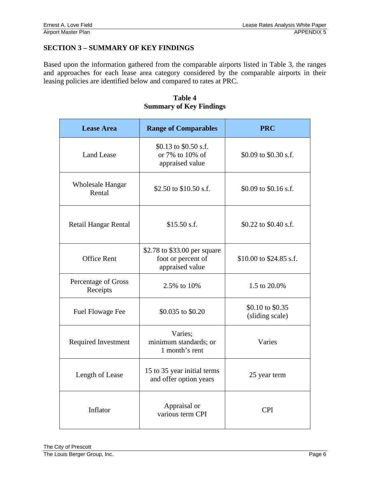# **SECTION 3 – SUMMARY OF KEY FINDINGS**

Based upon the information gathered from the comparable airports listed in Table 3, the ranges and approaches for each lease area category considered by the comparable airports in their leasing policies are identified below and compared to rates at PRC.

| <b>Lease Area</b>                 | <b>Range of Comparables</b>                                           | <b>PRC</b>                          |  |  |
|-----------------------------------|-----------------------------------------------------------------------|-------------------------------------|--|--|
| <b>Land Lease</b>                 | \$0.13 to \$0.50 s.f.<br>or 7% to 10% of<br>appraised value           | \$0.09 to \$0.30 s.f.               |  |  |
| <b>Wholesale Hangar</b><br>Rental | \$2.50 to $$10.50$ s.f.                                               | \$0.09 to \$0.16 s.f.               |  |  |
| <b>Retail Hangar Rental</b>       | $$15.50$ s.f.                                                         | \$0.22 to \$0.40 s.f.               |  |  |
| <b>Office Rent</b>                | \$2.78 to \$33.00 per square<br>foot or percent of<br>appraised value | \$10.00 to \$24.85 s.f.             |  |  |
| Percentage of Gross<br>Receipts   | 2.5% to 10%                                                           | 1.5 to 20.0%                        |  |  |
| <b>Fuel Flowage Fee</b>           | \$0.035 to \$0.20                                                     | \$0.10 to \$0.35<br>(sliding scale) |  |  |
| <b>Required Investment</b>        | Varies;<br>minimum standards; or<br>1 month's rent                    | Varies                              |  |  |
| Length of Lease                   | 15 to 35 year initial terms<br>and offer option years                 | 25 year term                        |  |  |
| Inflator                          | Appraisal or<br>various term CPI                                      | <b>CPI</b>                          |  |  |

**Table 4 Summary of Key Findings**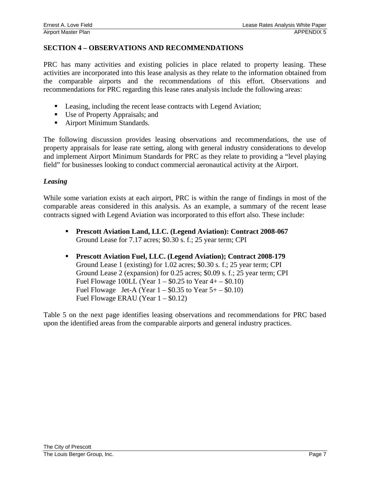### **SECTION 4 – OBSERVATIONS AND RECOMMENDATIONS**

PRC has many activities and existing policies in place related to property leasing. These activities are incorporated into this lease analysis as they relate to the information obtained from the comparable airports and the recommendations of this effort. Observations and recommendations for PRC regarding this lease rates analysis include the following areas:

- Leasing, including the recent lease contracts with Legend Aviation;
- Use of Property Appraisals; and
- **Airport Minimum Standards.**

The following discussion provides leasing observations and recommendations, the use of property appraisals for lease rate setting, along with general industry considerations to develop and implement Airport Minimum Standards for PRC as they relate to providing a "level playing field" for businesses looking to conduct commercial aeronautical activity at the Airport.

### *Leasing*

While some variation exists at each airport, PRC is within the range of findings in most of the comparable areas considered in this analysis. As an example, a summary of the recent lease contracts signed with Legend Aviation was incorporated to this effort also. These include:

- **Prescott Aviation Land, LLC. (Legend Aviation): Contract 2008-067**  Ground Lease for 7.17 acres; \$0.30 s. f.; 25 year term; CPI
- **Prescott Aviation Fuel, LLC. (Legend Aviation); Contract 2008-179**  Ground Lease 1 (existing) for 1.02 acres; \$0.30 s. f.; 25 year term; CPI Ground Lease 2 (expansion) for 0.25 acres; \$0.09 s. f.; 25 year term; CPI Fuel Flowage 100LL (Year  $1 - $0.25$  to Year  $4 + - $0.10$ ) Fuel Flowage Jet-A (Year  $1 - $0.35$  to Year  $5 + - $0.10$ ) Fuel Flowage ERAU (Year  $1 - $0.12$ )

Table 5 on the next page identifies leasing observations and recommendations for PRC based upon the identified areas from the comparable airports and general industry practices.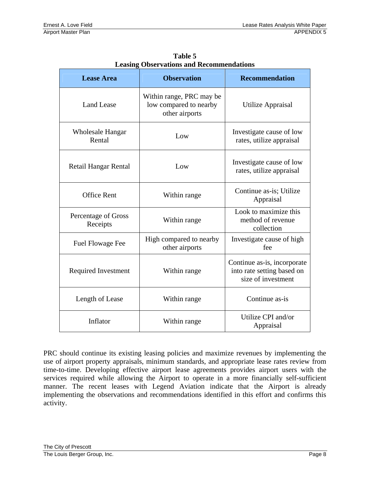| <b>Lease Area</b>                 | <b>Observation</b>                                                   | <b>Recommendation</b>                                                           |  |  |
|-----------------------------------|----------------------------------------------------------------------|---------------------------------------------------------------------------------|--|--|
| <b>Land Lease</b>                 | Within range, PRC may be<br>low compared to nearby<br>other airports | Utilize Appraisal                                                               |  |  |
| <b>Wholesale Hangar</b><br>Rental | Low                                                                  | Investigate cause of low<br>rates, utilize appraisal                            |  |  |
| Retail Hangar Rental              | Low                                                                  | Investigate cause of low<br>rates, utilize appraisal                            |  |  |
| <b>Office Rent</b>                | Within range                                                         | Continue as-is; Utilize<br>Appraisal                                            |  |  |
| Percentage of Gross<br>Receipts   | Within range                                                         | Look to maximize this<br>method of revenue<br>collection                        |  |  |
| <b>Fuel Flowage Fee</b>           | High compared to nearby<br>other airports                            | Investigate cause of high<br>fee                                                |  |  |
| <b>Required Investment</b>        | Within range                                                         | Continue as-is, incorporate<br>into rate setting based on<br>size of investment |  |  |
| Length of Lease                   | Within range                                                         | Continue as-is                                                                  |  |  |
| Inflator                          | Within range                                                         | Utilize CPI and/or<br>Appraisal                                                 |  |  |

**Table 5 Leasing Observations and Recommendations**

PRC should continue its existing leasing policies and maximize revenues by implementing the use of airport property appraisals, minimum standards, and appropriate lease rates review from time-to-time. Developing effective airport lease agreements provides airport users with the services required while allowing the Airport to operate in a more financially self-sufficient manner. The recent leases with Legend Aviation indicate that the Airport is already implementing the observations and recommendations identified in this effort and confirms this activity.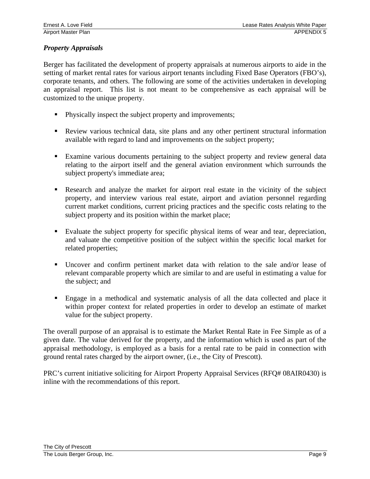## *Property Appraisals*

Berger has facilitated the development of property appraisals at numerous airports to aide in the setting of market rental rates for various airport tenants including Fixed Base Operators (FBO's), corporate tenants, and others. The following are some of the activities undertaken in developing an appraisal report. This list is not meant to be comprehensive as each appraisal will be customized to the unique property.

- **Physically inspect the subject property and improvements;**
- Review various technical data, site plans and any other pertinent structural information available with regard to land and improvements on the subject property;
- Examine various documents pertaining to the subject property and review general data relating to the airport itself and the general aviation environment which surrounds the subject property's immediate area;
- Research and analyze the market for airport real estate in the vicinity of the subject property, and interview various real estate, airport and aviation personnel regarding current market conditions, current pricing practices and the specific costs relating to the subject property and its position within the market place;
- Evaluate the subject property for specific physical items of wear and tear, depreciation, and valuate the competitive position of the subject within the specific local market for related properties;
- Uncover and confirm pertinent market data with relation to the sale and/or lease of relevant comparable property which are similar to and are useful in estimating a value for the subject; and
- Engage in a methodical and systematic analysis of all the data collected and place it within proper context for related properties in order to develop an estimate of market value for the subject property.

The overall purpose of an appraisal is to estimate the Market Rental Rate in Fee Simple as of a given date. The value derived for the property, and the information which is used as part of the appraisal methodology, is employed as a basis for a rental rate to be paid in connection with ground rental rates charged by the airport owner, (i.e., the City of Prescott).

PRC's current initiative soliciting for Airport Property Appraisal Services (RFQ# 08AIR0430) is inline with the recommendations of this report.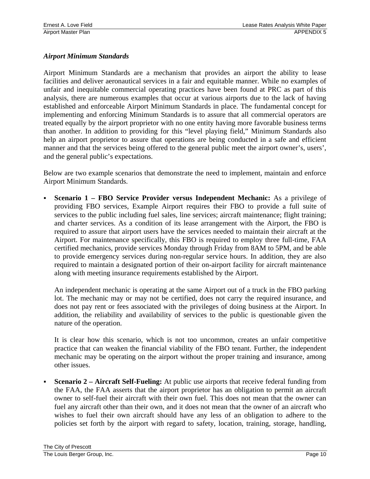## *Airport Minimum Standards*

Airport Minimum Standards are a mechanism that provides an airport the ability to lease facilities and deliver aeronautical services in a fair and equitable manner. While no examples of unfair and inequitable commercial operating practices have been found at PRC as part of this analysis, there are numerous examples that occur at various airports due to the lack of having established and enforceable Airport Minimum Standards in place. The fundamental concept for implementing and enforcing Minimum Standards is to assure that all commercial operators are treated equally by the airport proprietor with no one entity having more favorable business terms than another. In addition to providing for this "level playing field," Minimum Standards also help an airport proprietor to assure that operations are being conducted in a safe and efficient manner and that the services being offered to the general public meet the airport owner's, users', and the general public's expectations.

Below are two example scenarios that demonstrate the need to implement, maintain and enforce Airport Minimum Standards.

 **Scenario 1 – FBO Service Provider versus Independent Mechanic:** As a privilege of providing FBO services, Example Airport requires their FBO to provide a full suite of services to the public including fuel sales, line services; aircraft maintenance; flight training; and charter services. As a condition of its lease arrangement with the Airport, the FBO is required to assure that airport users have the services needed to maintain their aircraft at the Airport. For maintenance specifically, this FBO is required to employ three full-time, FAA certified mechanics, provide services Monday through Friday from 8AM to 5PM, and be able to provide emergency services during non-regular service hours. In addition, they are also required to maintain a designated portion of their on-airport facility for aircraft maintenance along with meeting insurance requirements established by the Airport.

An independent mechanic is operating at the same Airport out of a truck in the FBO parking lot. The mechanic may or may not be certified, does not carry the required insurance, and does not pay rent or fees associated with the privileges of doing business at the Airport. In addition, the reliability and availability of services to the public is questionable given the nature of the operation.

It is clear how this scenario, which is not too uncommon, creates an unfair competitive practice that can weaken the financial viability of the FBO tenant. Further, the independent mechanic may be operating on the airport without the proper training and insurance, among other issues.

 **Scenario 2 – Aircraft Self-Fueling:** At public use airports that receive federal funding from the FAA, the FAA asserts that the airport proprietor has an obligation to permit an aircraft owner to self-fuel their aircraft with their own fuel. This does not mean that the owner can fuel any aircraft other than their own, and it does not mean that the owner of an aircraft who wishes to fuel their own aircraft should have any less of an obligation to adhere to the policies set forth by the airport with regard to safety, location, training, storage, handling,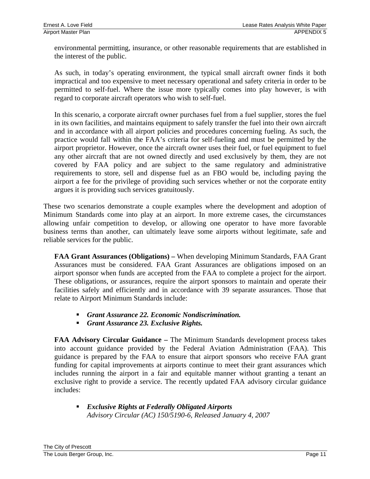environmental permitting, insurance, or other reasonable requirements that are established in the interest of the public.

As such, in today's operating environment, the typical small aircraft owner finds it both impractical and too expensive to meet necessary operational and safety criteria in order to be permitted to self-fuel. Where the issue more typically comes into play however, is with regard to corporate aircraft operators who wish to self-fuel.

In this scenario, a corporate aircraft owner purchases fuel from a fuel supplier, stores the fuel in its own facilities, and maintains equipment to safely transfer the fuel into their own aircraft and in accordance with all airport policies and procedures concerning fueling. As such, the practice would fall within the FAA's criteria for self-fueling and must be permitted by the airport proprietor. However, once the aircraft owner uses their fuel, or fuel equipment to fuel any other aircraft that are not owned directly and used exclusively by them, they are not covered by FAA policy and are subject to the same regulatory and administrative requirements to store, sell and dispense fuel as an FBO would be, including paying the airport a fee for the privilege of providing such services whether or not the corporate entity argues it is providing such services gratuitously.

These two scenarios demonstrate a couple examples where the development and adoption of Minimum Standards come into play at an airport. In more extreme cases, the circumstances allowing unfair competition to develop, or allowing one operator to have more favorable business terms than another, can ultimately leave some airports without legitimate, safe and reliable services for the public.

**FAA Grant Assurances (Obligations) –** When developing Minimum Standards, FAA Grant Assurances must be considered. FAA Grant Assurances are obligations imposed on an airport sponsor when funds are accepted from the FAA to complete a project for the airport. These obligations, or assurances, require the airport sponsors to maintain and operate their facilities safely and efficiently and in accordance with 39 separate assurances. Those that relate to Airport Minimum Standards include:

- *Grant Assurance 22. Economic Nondiscrimination.*
- *Grant Assurance 23. Exclusive Rights.*

**FAA Advisory Circular Guidance –** The Minimum Standards development process takes into account guidance provided by the Federal Aviation Administration (FAA). This guidance is prepared by the FAA to ensure that airport sponsors who receive FAA grant funding for capital improvements at airports continue to meet their grant assurances which includes running the airport in a fair and equitable manner without granting a tenant an exclusive right to provide a service. The recently updated FAA advisory circular guidance includes:

 *Exclusive Rights at Federally Obligated Airports Advisory Circular (AC) 150/5190-6, Released January 4, 2007*